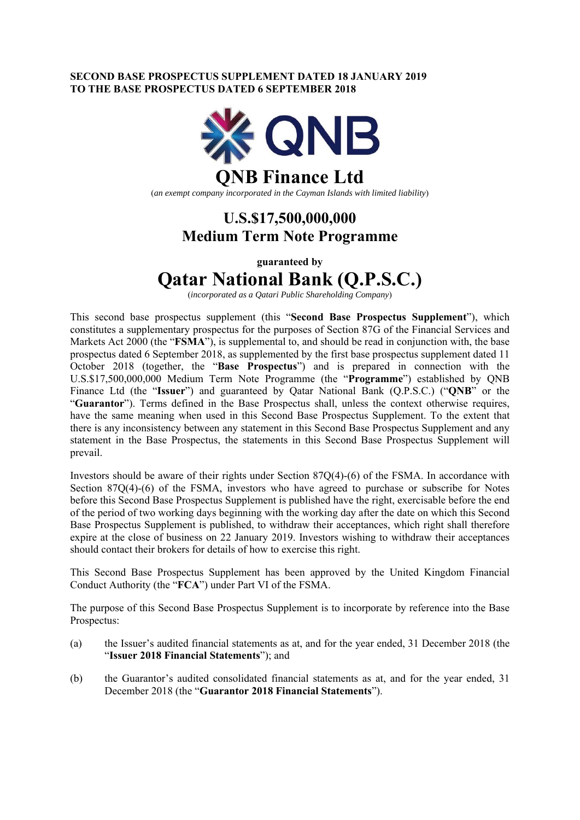### **SECOND BASE PROSPECTUS SUPPLEMENT DATED 18 JANUARY 2019 TO THE BASE PROSPECTUS DATED 6 SEPTEMBER 2018**



(*an exempt company incorporated in the Cayman Islands with limited liability*)

## **U.S.\$17,500,000,000 Medium Term Note Programme**

**guaranteed by** 

# **Qatar National Bank (Q.P.S.C.)**

(*incorporated as a Qatari Public Shareholding Company*)

This second base prospectus supplement (this "**Second Base Prospectus Supplement**"), which constitutes a supplementary prospectus for the purposes of Section 87G of the Financial Services and Markets Act 2000 (the "**FSMA**"), is supplemental to, and should be read in conjunction with, the base prospectus dated 6 September 2018, as supplemented by the first base prospectus supplement dated 11 October 2018 (together, the "**Base Prospectus**") and is prepared in connection with the U.S.\$17,500,000,000 Medium Term Note Programme (the "**Programme**") established by QNB Finance Ltd (the "**Issuer**") and guaranteed by Qatar National Bank (Q.P.S.C.) ("**QNB**" or the "**Guarantor**"). Terms defined in the Base Prospectus shall, unless the context otherwise requires, have the same meaning when used in this Second Base Prospectus Supplement. To the extent that there is any inconsistency between any statement in this Second Base Prospectus Supplement and any statement in the Base Prospectus, the statements in this Second Base Prospectus Supplement will prevail.

Investors should be aware of their rights under Section 87Q(4)-(6) of the FSMA. In accordance with Section 87Q(4)-(6) of the FSMA, investors who have agreed to purchase or subscribe for Notes before this Second Base Prospectus Supplement is published have the right, exercisable before the end of the period of two working days beginning with the working day after the date on which this Second Base Prospectus Supplement is published, to withdraw their acceptances, which right shall therefore expire at the close of business on 22 January 2019. Investors wishing to withdraw their acceptances should contact their brokers for details of how to exercise this right.

This Second Base Prospectus Supplement has been approved by the United Kingdom Financial Conduct Authority (the "**FCA**") under Part VI of the FSMA.

The purpose of this Second Base Prospectus Supplement is to incorporate by reference into the Base Prospectus:

- (a) the Issuer's audited financial statements as at, and for the year ended, 31 December 2018 (the "**Issuer 2018 Financial Statements**"); and
- (b) the Guarantor's audited consolidated financial statements as at, and for the year ended, 31 December 2018 (the "**Guarantor 2018 Financial Statements**").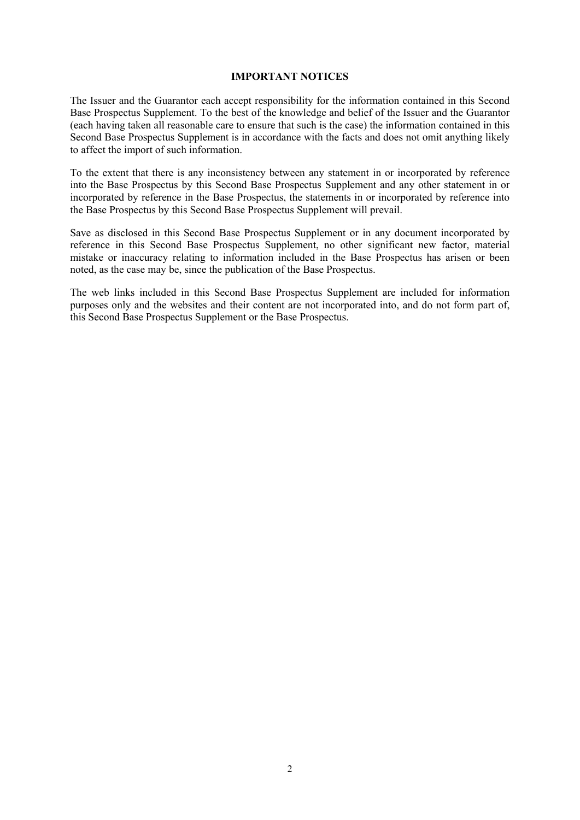#### **IMPORTANT NOTICES**

The Issuer and the Guarantor each accept responsibility for the information contained in this Second Base Prospectus Supplement. To the best of the knowledge and belief of the Issuer and the Guarantor (each having taken all reasonable care to ensure that such is the case) the information contained in this Second Base Prospectus Supplement is in accordance with the facts and does not omit anything likely to affect the import of such information.

To the extent that there is any inconsistency between any statement in or incorporated by reference into the Base Prospectus by this Second Base Prospectus Supplement and any other statement in or incorporated by reference in the Base Prospectus, the statements in or incorporated by reference into the Base Prospectus by this Second Base Prospectus Supplement will prevail.

Save as disclosed in this Second Base Prospectus Supplement or in any document incorporated by reference in this Second Base Prospectus Supplement, no other significant new factor, material mistake or inaccuracy relating to information included in the Base Prospectus has arisen or been noted, as the case may be, since the publication of the Base Prospectus.

The web links included in this Second Base Prospectus Supplement are included for information purposes only and the websites and their content are not incorporated into, and do not form part of, this Second Base Prospectus Supplement or the Base Prospectus.